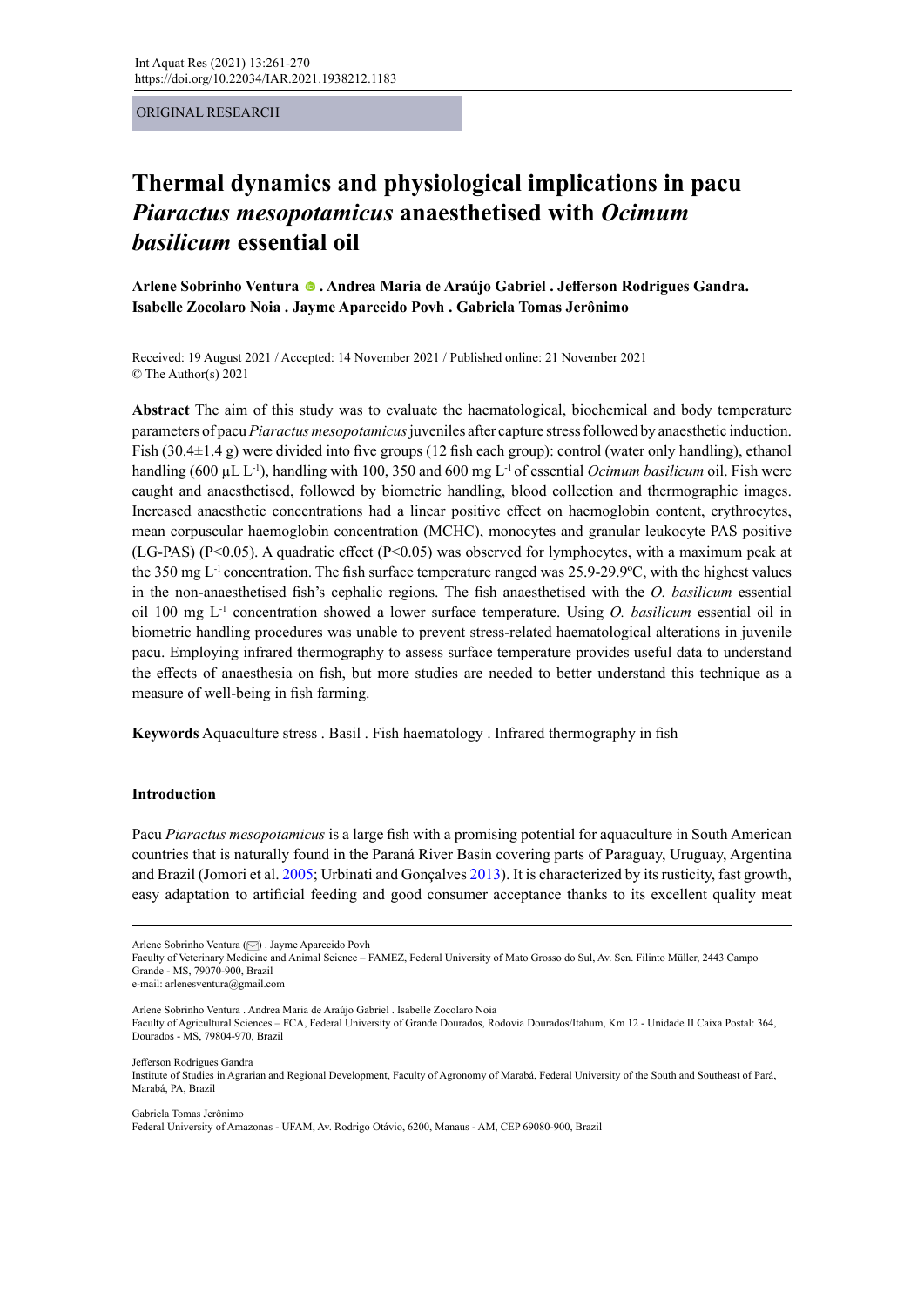ORIGINAL RESEARCH

# **Thermal dynamics and physiological implications in pacu** *Piaractus mesopotamicus* **anaesthetised with** *Ocimum basilicum* **essential oil**

**Arlene Sobrinho Ventura. Andrea Maria de Araújo Gabriel . Jefferson Rodrigues Gandra. Isabelle Zocolaro Noia . Jayme Aparecido Povh . Gabriela Tomas Jerônimo**

Received: 19 August 2021 / Accepted: 14 November 2021 / Published online: 21 November 2021 © The Author(s) 2021

**Abstract** The aim of this study was to evaluate the haematological, biochemical and body temperature parameters of pacu *Piaractus mesopotamicus* juveniles after capture stress followed by anaesthetic induction. Fish (30.4 $\pm$ 1.4 g) were divided into five groups (12 fish each group): control (water only handling), ethanol handling (600 µL L<sup>-1</sup>), handling with 100, 350 and 600 mg L<sup>-1</sup> of essential *Ocimum basilicum* oil. Fish were caught and anaesthetised, followed by biometric handling, blood collection and thermographic images. Increased anaesthetic concentrations had a linear positive effect on haemoglobin content, erythrocytes, mean corpuscular haemoglobin concentration (MCHC), monocytes and granular leukocyte PAS positive (LG-PAS) (P<0.05). A quadratic effect (P<0.05) was observed for lymphocytes, with a maximum peak at the 350 mg L-1 concentration. The fish surface temperature ranged was 25.9-29.9ºC, with the highest values in the non-anaesthetised fish's cephalic regions. The fish anaesthetised with the *O. basilicum* essential oil 100 mg L-1 concentration showed a lower surface temperature. Using *O. basilicum* essential oil in biometric handling procedures was unable to prevent stress-related haematological alterations in juvenile pacu. Employing infrared thermography to assess surface temperature provides useful data to understand the effects of anaesthesia on fish, but more studies are needed to better understand this technique as a measure of well-being in fish farming.

**Keywords** Aquaculture stress . Basil . Fish haematology . Infrared thermography in fish

#### **Introduction**

Pacu *Piaractus mesopotamicus* is a large fish with a promising potential for aquaculture in South American countries that is naturally found in the Paraná River Basin covering parts of Paraguay, Uruguay, Argentina and Brazil (Jomori et al. 2005; Urbinati and Gonçalves 2013). It is characterized by its rusticity, fast growth, easy adaptation to artificial feeding and good consumer acceptance thanks to its excellent quality meat

Faculty of Veterinary Medicine and Animal Science – FAMEZ, Federal University of Mato Grosso do Sul, Av. Sen. Filinto Müller, 2443 Campo Grande - MS, 79070-900, Brazil

e-mail: arlenesventura@gmail.com

Arlene Sobrinho Ventura . Andrea Maria de Araújo Gabriel . Isabelle Zocolaro Noia

Faculty of Agricultural Sciences – FCA, Federal University of Grande Dourados, Rodovia Dourados/Itahum, Km 12 - Unidade II Caixa Postal: 364, Dourados - MS, 79804-970, Brazil

Jefferson Rodrigues Gandra

Institute of Studies in Agrarian and Regional Development, Faculty of Agronomy of Marabá, Federal University of the South and Southeast of Pará, Marabá, PA, Brazil

Gabriela Tomas Jerônimo

Federal University of Amazonas - UFAM, Av. Rodrigo Otávio, 6200, Manaus - AM, CEP 69080-900, Brazil

Arlene Sobrinho Ventura [\(](mailto:arlenesventura%40gmail.com?subject=) ) . Jayme Aparecido Povh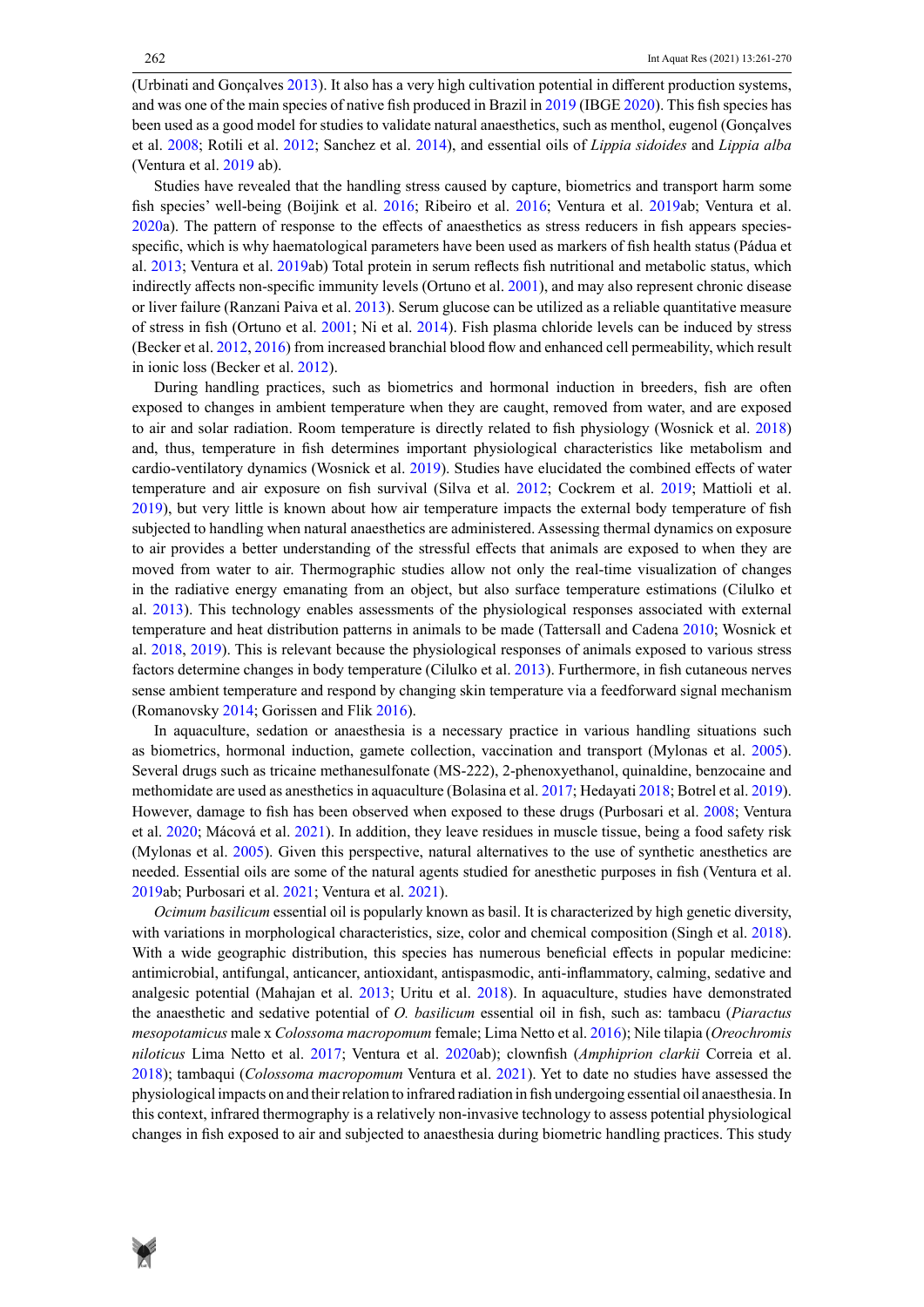(Urbinati and Gonçalves 2013). It also has a very high cultivation potential in different production systems, and was one of the main species of native fish produced in Brazil in 2019 (IBGE 2020). This fish species has been used as a good model for studies to validate natural anaesthetics, such as menthol, eugenol (Gonçalves et al. 2008; Rotili et al. 2012; Sanchez et al. 2014), and essential oils of *Lippia sidoides* and *Lippia alba* (Ventura et al. 2019 ab).

Studies have revealed that the handling stress caused by capture, biometrics and transport harm some fish species' well-being (Boijink et al. 2016; Ribeiro et al. 2016; Ventura et al. 2019ab; Ventura et al. 2020a). The pattern of response to the effects of anaesthetics as stress reducers in fish appears speciesspecific, which is why haematological parameters have been used as markers of fish health status (Pádua et al. 2013; Ventura et al. 2019ab) Total protein in serum reflects fish nutritional and metabolic status, which indirectly affects non-specific immunity levels (Ortuno et al. 2001), and may also represent chronic disease or liver failure (Ranzani Paiva et al. 2013). Serum glucose can be utilized as a reliable quantitative measure of stress in fish (Ortuno et al. 2001; Ni et al. 2014). Fish plasma chloride levels can be induced by stress (Becker et al. 2012, 2016) from increased branchial blood flow and enhanced cell permeability, which result in ionic loss (Becker et al. 2012).

During handling practices, such as biometrics and hormonal induction in breeders, fish are often exposed to changes in ambient temperature when they are caught, removed from water, and are exposed to air and solar radiation. Room temperature is directly related to fish physiology (Wosnick et al. 2018) and, thus, temperature in fish determines important physiological characteristics like metabolism and cardio-ventilatory dynamics (Wosnick et al. 2019). Studies have elucidated the combined effects of water temperature and air exposure on fish survival (Silva et al. 2012; Cockrem et al. 2019; Mattioli et al. 2019), but very little is known about how air temperature impacts the external body temperature of fish subjected to handling when natural anaesthetics are administered. Assessing thermal dynamics on exposure to air provides a better understanding of the stressful effects that animals are exposed to when they are moved from water to air. Thermographic studies allow not only the real-time visualization of changes in the radiative energy emanating from an object, but also surface temperature estimations (Cilulko et al. 2013). This technology enables assessments of the physiological responses associated with external temperature and heat distribution patterns in animals to be made (Tattersall and Cadena 2010; Wosnick et al. 2018, 2019). This is relevant because the physiological responses of animals exposed to various stress factors determine changes in body temperature (Cilulko et al. 2013). Furthermore, in fish cutaneous nerves sense ambient temperature and respond by changing skin temperature via a feedforward signal mechanism (Romanovsky 2014; Gorissen and Flik 2016).

In aquaculture, sedation or anaesthesia is a necessary practice in various handling situations such as biometrics, hormonal induction, gamete collection, vaccination and transport (Mylonas et al. 2005). Several drugs such as tricaine methanesulfonate (MS-222), 2-phenoxyethanol, quinaldine, benzocaine and methomidate are used as anesthetics in aquaculture (Bolasina et al. 2017; Hedayati 2018; Botrel et al. 2019). However, damage to fish has been observed when exposed to these drugs (Purbosari et al. 2008; Ventura et al. 2020; Mácová et al. 2021). In addition, they leave residues in muscle tissue, being a food safety risk (Mylonas et al. 2005). Given this perspective, natural alternatives to the use of synthetic anesthetics are needed. Essential oils are some of the natural agents studied for anesthetic purposes in fish (Ventura et al. 2019ab; Purbosari et al. 2021; Ventura et al. 2021).

*Ocimum basilicum* essential oil is popularly known as basil. It is characterized by high genetic diversity, with variations in morphological characteristics, size, color and chemical composition (Singh et al. 2018). With a wide geographic distribution, this species has numerous beneficial effects in popular medicine: antimicrobial, antifungal, anticancer, antioxidant, antispasmodic, anti-inflammatory, calming, sedative and analgesic potential (Mahajan et al. 2013; Uritu et al. 2018). In aquaculture, studies have demonstrated the anaesthetic and sedative potential of *O. basilicum* essential oil in fish, such as: tambacu (*Piaractus mesopotamicus* male x *Colossoma macropomum* female; Lima Netto et al. 2016); Nile tilapia (*Oreochromis niloticus* Lima Netto et al. 2017; Ventura et al. 2020ab); clownfish (*Amphiprion clarkii* Correia et al. 2018); tambaqui (*Colossoma macropomum* Ventura et al. 2021). Yet to date no studies have assessed the physiological impacts on and their relation to infrared radiation in fish undergoing essential oil anaesthesia. In this context, infrared thermography is a relatively non-invasive technology to assess potential physiological changes in fish exposed to air and subjected to anaesthesia during biometric handling practices. This study

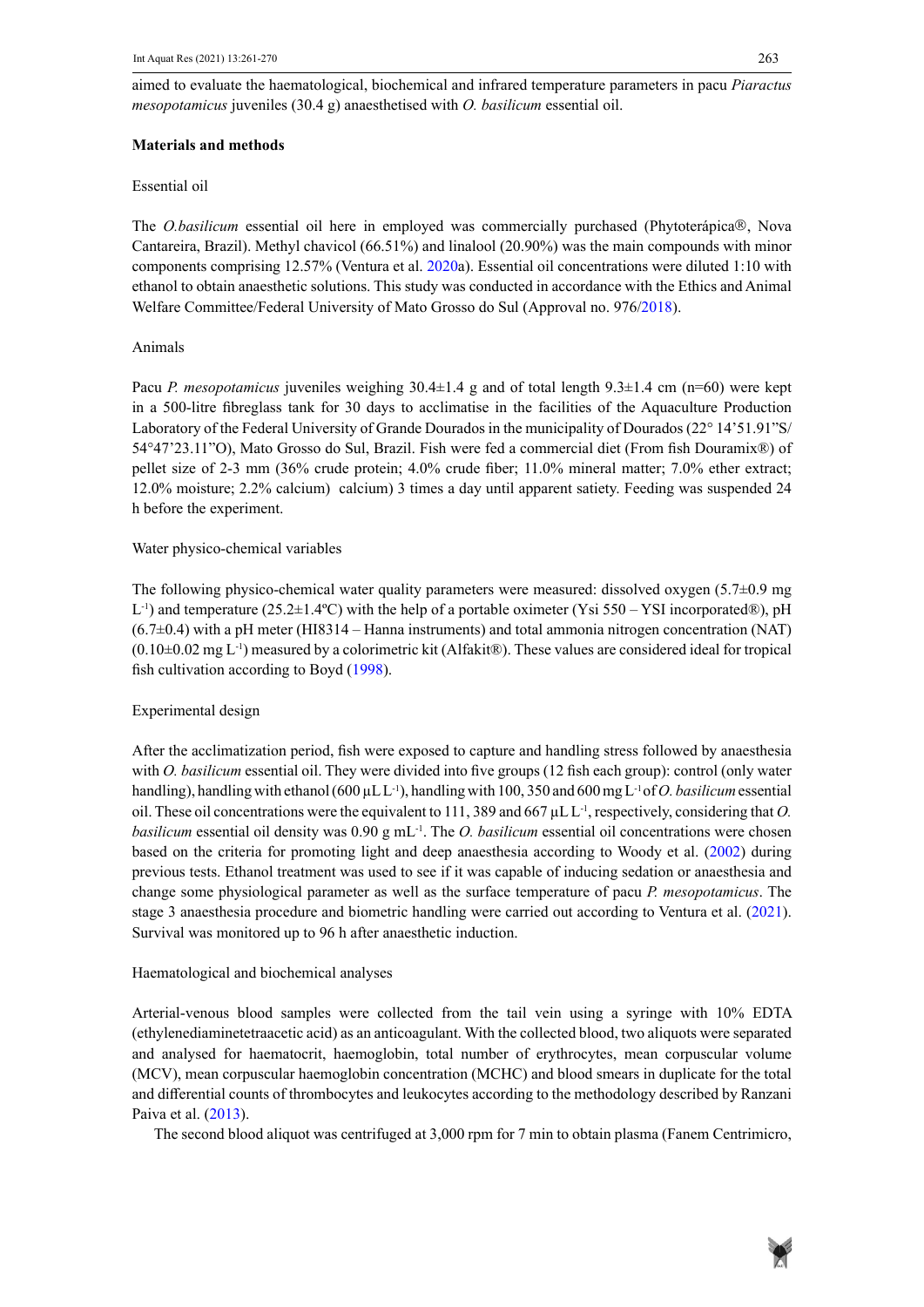aimed to evaluate the haematological, biochemical and infrared temperature parameters in pacu *Piaractus mesopotamicus* juveniles (30.4 g) anaesthetised with *O. basilicum* essential oil. *basilicum* essential oil.

## **Materials and methods Materials and methods**

### Essential oil Essential oil

The *O.basilicum* essential oil here in employed was commercially purchased (Phytoterápica®, Nova The *O.basilicum* essential oil here in employed was commercially purchased (Phytoterápica®, Nova<br>Cantareira, Brazil). Methyl chavicol (66.51%) and linalool (20.90%) was the main compounds with minor components comprising 12.57% (Ventura et al. 2020a). Essential oil concentrations were diluted 1:10 with ethanol to obtain anaesthetic solutions. This study was conducted in accordance with the Ethics and Animal and Animal Welfare Committee/Federal University of Mato Grosso do Sul (Approval no. 976/2018). Welfare Committee/Federal University of Mato Grosso do Sul (Approval no. 976/2018).

#### Animals

Pacu *P. mesopotamicus* juveniles weighing 30.4±1.4 g and of total length 9.3±1.4 cm (n=60) were kept in a 500-litre fibreglass tank for 30 days to acclimatise in the facilities of the Aquaculture Production Laboratory of the Federal University of Grande Dourados in the municipality of Dourados (22° 14'51.91"S/ 54°47'23.11"O), Mato Grosso do Sul, Brazil. Fish were fed a commercial diet (From fish Douramix®) of  $\frac{1}{24}$  times  $\frac{1}{28}$ . There exists a day until apparent satisfacture satisfacture satisfacture suspendied was subsequently was subsequently was subsequently was subsequently appeared was subsequently was subsequent pellet size of 2-3 mm (36% crude protein; 4.0% crude fiber; 11.0% mineral matter; 7.0% ether extract; h before the experiment. 12.0% moisture; 2.2% calcium) calcium) 3 times a day until apparent satiety. Feeding was suspended 24

#### Water physico-chemical variables were measured: dissolved oxygen (5.7±0.9 mg mg mg mg mg mg mg mg mg mg mg mg m

The following physico-chemical water quality parameters were measured: dissolved oxygen  $(5.7\pm 0.9 \text{ mg})$ (NAT) and to measure of  $5.0 \pm 1.00$ . The latter point point point of  $\alpha$  considered in  $\sqrt{X_1^2 + 50}$ .  $\sqrt{X_1^2 + 50}$  measured in  $\sqrt{X_1^2 + 50}$ . L<sup>-1</sup>) and temperature (25.2±1.4°C) with the help of a portable oximeter (Ysi 550 – YSI incorporated®), pH  $(0.10\pm0.02$  mg L<sup>-1</sup>) measured by a colorimetric kit (Alfakit®). These values are considered ideal for tropical (6.7±0.4) with a pH meter (HI8314 – Hanna instruments) and total ammonia nitrogen concentration (NAT) fish cultivation according to Boyd (1998).

#### **Experimental design** essential or the first group of  $\alpha$  fish each group of  $\alpha$  fish each group of  $\alpha$  fish each group of  $\alpha$  fish each group of  $\alpha$  fish each group of  $\alpha$  fish each group of  $\alpha$  fish each group of water handling with ethanol (600  $\mu$ 1  $\mu$ -1  $\mu$

After the acclimatization period, fish were exposed to capture and handling stress followed by anaesthesia respectively, considering that *O. basilicum* essential oil density was 0.90 g material or method of material oil density was 0.90 g material oil density was 0.90 g material oil density was 0.90 g material oil density was with *O. basilicum* essential oil. They were divided into five groups (12 fish each group): control (only water handling), handling with ethanol (600  $\mu$ L L<sup>-1</sup>), handling with 100, 350 and 600 mg L<sup>-1</sup> of *O. basilicum* essential oil. These oil concentrations were the equivalent to 111, 389 and 667  $\mu$ L L<sup>-1</sup>, respectively, considering that *O*. *basilicum* essential oil density was  $0.90 \text{ g mL}^{-1}$ . The *O. basilicum* essential oil concentrations were chosen based on the criteria for promoting light and deep anaesthesia according to Woody et al. (2002) during previous tests. Ethanol treatment was used to see if it was capable of inducing sedation or anaesthesia and Haematological and biochemical analyses stage 3 anaesthesia procedure and biometric handling were carried out according to Ventura et al. (2021). Survival was monitored up to 96 h after anaesthetic induction. change some physiological parameter as well as the surface temperature of pacu *P. mesopotamicus*. The

## Haematological and biochemical analyses and the error of error of error of error of error of error of error of error of error of error of error of error of error of error of error of error of error of error of error of err

Arterial-venous blood samples were collected from the tail vein using a syringe with 10% EDTA (ethylenediaminetetraacetic acid) as an anticoagulant. With the collected blood, two aliquots were separated and analysed for haematocrit, haemoglobin, total number of erythrocytes, mean corpuscular volume Centrimicro, Brazil) and was later stored at −20ºC. Glucose, total plasma protein and chloride (Cl-) were (MCV), mean corpuscular haemoglobin concentration (MCHC) and blood smears in duplicate for the total  $\frac{1}{N}$ and differential counts of thrombocytes and leukocytes according to the methodology described by Ranzani Paiva et al. (2013).

The second blood aliquot was centrifuged at 3,000 rpm for 7 min to obtain plasma (Fanem Centrimicro,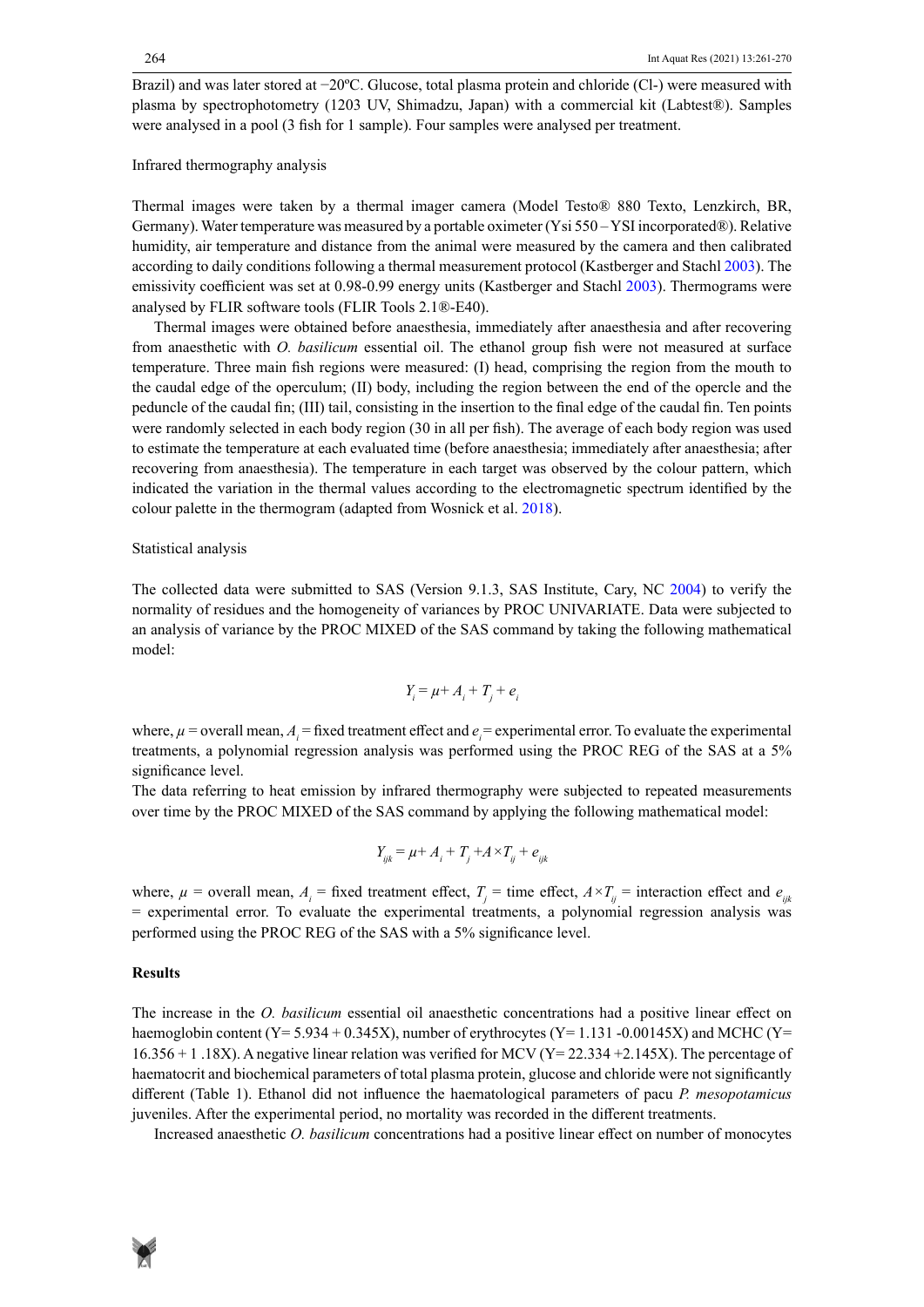Brazil) and was later stored at −20ºC. Glucose, total plasma protein and chloride (Cl-) were measured with plasma by spectrophotometry (1203 UV, Shimadzu, Japan) with a commercial kit (Labtest®). Samples were analysed in a pool (3 fish for 1 sample). Four samples were analysed per treatment.

#### Infrared thermography analysis

Thermal images were taken by a thermal imager camera (Model Testo® 880 Texto, Lenzkirch, BR, Germany). Water temperature was measured by a portable oximeter (Ysi 550 – YSI incorporated®). Relative humidity, air temperature and distance from the animal were measured by the camera and then calibrated according to daily conditions following a thermal measurement protocol (Kastberger and Stachl 2003). The emissivity coefficient was set at 0.98-0.99 energy units (Kastberger and Stachl 2003). Thermograms were analysed by FLIR software tools (FLIR Tools 2.1®-E40).

Thermal images were obtained before anaesthesia, immediately after anaesthesia and after recovering from anaesthetic with *O. basilicum* essential oil. The ethanol group fish were not measured at surface temperature. Three main fish regions were measured: (I) head, comprising the region from the mouth to the caudal edge of the operculum; (II) body, including the region between the end of the opercle and the peduncle of the caudal fin; (III) tail, consisting in the insertion to the final edge of the caudal fin. Ten points were randomly selected in each body region (30 in all per fish). The average of each body region was used to estimate the temperature at each evaluated time (before anaesthesia; immediately after anaesthesia; after recovering from anaesthesia). The temperature in each target was observed by the colour pattern, which indicated the variation in the thermal values according to the electromagnetic spectrum identified by the colour palette in the thermogram (adapted from Wosnick et al. 2018).

#### Statistical analysis

The collected data were submitted to SAS (Version 9.1.3, SAS Institute, Cary, NC 2004) to verify the normality of residues and the homogeneity of variances by PROC UNIVARIATE. Data were subjected to an analysis of variance by the PROC MIXED of the SAS command by taking the following mathematical model:

$$
Y_i = \mu + A_i + T_j + e_i
$$

where,  $\mu$  = overall mean,  $A_i$  = fixed treatment effect and  $e_i$  = experimental error. To evaluate the experimental treatments, a polynomial regression analysis was performed using the PROC REG of the SAS at a 5% significance level.

The data referring to heat emission by infrared thermography were subjected to repeated measurements over time by the PROC MIXED of the SAS command by applying the following mathematical model:

$$
Y_{ijk} = \mu + A_i + T_j + A \times T_{ij} + e_{ijk}
$$

where,  $\mu$  = overall mean,  $A_i$  = fixed treatment effect,  $T_j$  = time effect,  $A \times T_{ij}$  = interaction effect and  $e_{ijk}$ = experimental error. To evaluate the experimental treatments, a polynomial regression analysis was performed using the PROC REG of the SAS with a 5% significance level.

#### **Results**

The increase in the *O. basilicum* essential oil anaesthetic concentrations had a positive linear effect on haemoglobin content (Y= 5.934 + 0.345X), number of erythrocytes (Y= 1.131 -0.00145X) and MCHC (Y= 16.356 + 1.18X). A negative linear relation was verified for MCV ( $Y=22.334 +2.145X$ ). The percentage of haematocrit and biochemical parameters of total plasma protein, glucose and chloride were not significantly different (Table 1). Ethanol did not influence the haematological parameters of pacu *P. mesopotamicus* juveniles. After the experimental period, no mortality was recorded in the different treatments.

Increased anaesthetic *O. basilicum* concentrations had a positive linear effect on number of monocytes

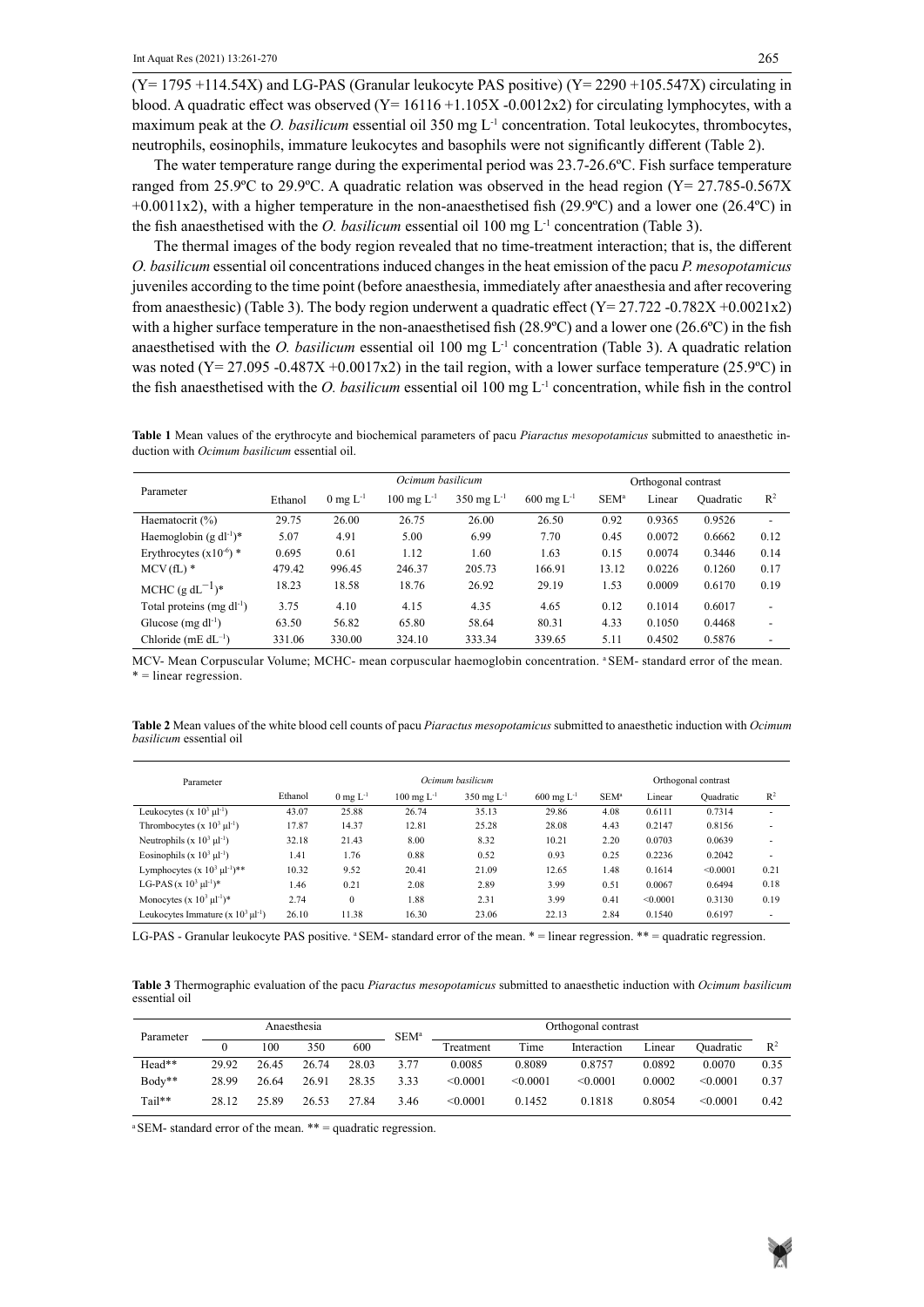= linear regression.

 $(Y= 1795 + 114.54X)$  and LG-PAS (Granular leukocyte PAS positive)  $(Y= 2290 + 105.547X)$  circulating in blood. A quadratic effect was observed  $(Y= 16116 + 1.105X - 0.0012x2)$  for circulating lymphocytes, with a maximum peak at the *O. basilicum* essential oil 350 mg L<sup>-1</sup> concentration. Total leukocytes, thrombocytes, neutrophils, eosinophils, immature leukocytes and basophils were not significantly different (Table 2).

The water temperature range during the experimental period was 23.7-26.6ºC. Fish surface temperature ranged from 25.9°C to 29.9°C. A quadratic relation was observed in the head region ( $Y = 27.785 - 0.567X$  $+0.0011x2$ ), with a higher temperature in the non-anaesthetised fish (29.9°C) and a lower one (26.4°C) in the fish anaesthetised with the *O. basilicum* essential oil 100 mg  $L<sup>1</sup>$  concentration (Table 3).

The thermal images of the body region revealed that no time-treatment interaction; that is, the different *O. basilicum* essential oil concentrations induced changes in the heat emission of the pacu *P. mesopotamicus* juveniles according to the time point (before anaesthesia, immediately after anaesthesia and after recovering from anaesthesic) (Table 3). The body region underwent a quadratic effect ( $Y = 27.722 -0.782X +0.0021x2$ ) with a higher surface temperature in the non-anaesthetised fish (28.9ºC) and a lower one (26.6ºC) in the fish anaesthetised with the *O. basilicum* essential oil 100 mg L<sup>-1</sup> concentration (Table 3). A quadratic relation was noted (Y= 27.095 -0.487X +0.0017x2) in the tail region, with a lower surface temperature (25.9°C) in the fish anaesthetised with the *O. basilicum* essential oil 100 mg L-1 concentration, while fish in the control

Table 1 Mean values of the erythrocyte and biochemical parameters of pacu Piaractus mesopotamicus submitted to anaesthetic ininduction with *Ocimum basilicum* essential oil. duction with *Ocimum basilicum* essential oil.

| Parameter                                      | Ocimum basilicum |                        |                          |                          |                          | Orthogonal contrast |        |           |                          |
|------------------------------------------------|------------------|------------------------|--------------------------|--------------------------|--------------------------|---------------------|--------|-----------|--------------------------|
|                                                | Ethanol          | $0 \text{ mg } L^{-1}$ | $100 \text{ mg } L^{-1}$ | $350 \text{ mg } L^{-1}$ | $600 \text{ mg } L^{-1}$ | SEM <sup>a</sup>    | Linear | Ouadratic | $R^2$                    |
| Haematocrit (%)                                | 29.75            | 26.00                  | 26.75                    | 26.00                    | 26.50                    | 0.92                | 0.9365 | 0.9526    | $\overline{\phantom{0}}$ |
| Haemoglobin (g dl <sup>-1</sup> ) <sup>*</sup> | 5.07             | 4.91                   | 5.00                     | 6.99                     | 7.70                     | 0.45                | 0.0072 | 0.6662    | 0.12                     |
| Erythrocytes $(x10^{-6})$ *                    | 0.695            | 0.61                   | 1.12                     | 1.60                     | 1.63                     | 0.15                | 0.0074 | 0.3446    | 0.14                     |
| $MCV(fL)$ <sup>*</sup>                         | 479.42           | 996.45                 | 246.37                   | 205.73                   | 166.91                   | 13.12               | 0.0226 | 0.1260    | 0.17                     |
| MCHC $(g dL^{-1})^*$                           | 18.23            | 18.58                  | 18.76                    | 26.92                    | 29.19                    | 1.53                | 0.0009 | 0.6170    | 0.19                     |
| Total proteins (mg $dl^{-1}$ )                 | 3.75             | 4.10                   | 4.15                     | 4.35                     | 4.65                     | 0.12                | 0.1014 | 0.6017    |                          |
| Glucose $(mg d-1)$                             | 63.50            | 56.82                  | 65.80                    | 58.64                    | 80.31                    | 4.33                | 0.1050 | 0.4468    | -                        |
| Chloride (mE $dL^{-1}$ )                       | 331.06           | 330.00                 | 324.10                   | 333.34                   | 339.65                   | 5.11                | 0.4502 | 0.5876    |                          |

MCV- Mean Corpuscular Volume; MCHC- mean corpuscular haemoglobin concentration. <sup>a</sup> SEM- standard error of the mean.<br>\* = linear regression. \* = linear regression.

Table 2 Mean values of the white blood cell counts of pacu Piaractus mesopotamicus submitted to anaesthetic induction with Ocimum *basilicum* essential oil

| Parameter                                    | Ocimum basilicum |                        |                          |                          |                         |                  | Orthogonal contrast |           |                          |  |  |
|----------------------------------------------|------------------|------------------------|--------------------------|--------------------------|-------------------------|------------------|---------------------|-----------|--------------------------|--|--|
|                                              | Ethanol          | $0 \text{ mg } L^{-1}$ | $100 \text{ mg } L^{-1}$ | $350 \text{ mg } L^{-1}$ | $600 \text{ mg L}^{-1}$ | SEM <sup>a</sup> | Linear              | Ouadratic | $R^2$                    |  |  |
| Leukocytes (x $10^3$ $\mu$ l <sup>-1</sup> ) | 43.07            | 25.88                  | 26.74                    | 35.13                    | 29.86                   | 4.08             | 0.6111              | 0.7314    | $\overline{\phantom{a}}$ |  |  |
| Thrombocytes $(x 10^3 \mu l^{-1})$           | 17.87            | 14.37                  | 12.81                    | 25.28                    | 28.08                   | 4.43             | 0.2147              | 0.8156    | ٠                        |  |  |
| Neutrophils (x $10^3 \mu l^{-1}$ )           | 32.18            | 21.43                  | 8.00                     | 8.32                     | 10.21                   | 2.20             | 0.0703              | 0.0639    | ٠                        |  |  |
| Eosinophils (x $10^3$ $\mu$ <sup>1</sup> )   | 1.41             | 1.76                   | 0.88                     | 0.52                     | 0.93                    | 0.25             | 0.2236              | 0.2042    |                          |  |  |
| Lymphocytes $(x 10^3 \mu l^{-1})$ **         | 10.32            | 9.52                   | 20.41                    | 21.09                    | 12.65                   | 1.48             | 0.1614              | < 0.0001  | 0.21                     |  |  |
| LG-PAS (x $10^3 \mu l^{-1}$ )*               | 1.46             | 0.21                   | 2.08                     | 2.89                     | 3.99                    | 0.51             | 0.0067              | 0.6494    | 0.18                     |  |  |
| Monocytes $(x 10^3 \mu l^{-1})^*$            | 2.74             | $\mathbf{0}$           | 1.88                     | 2.31                     | 3.99                    | 0.41             | < 0.0001            | 0.3130    | 0.19                     |  |  |
| Leukocytes Immature (x $10^3 \mu l^{-1}$ )   | 26.10            | 11.38                  | 16.30                    | 23.06                    | 22.13                   | 2.84             | 0.1540              | 0.6197    |                          |  |  |

LG-PAS - Granular leukocyte PAS positive. <sup>a</sup> SEM- standard error of the mean. \* = linear regression. \*\* = quadratic regression.

Table 3 Thermographic evaluation of the pacu Piaractus mesopotamicus submitted to anaesthetic induction with Ocimum basilicum essential oil

| Parameter |       | Anaesthesia |       |       | $SEM^a$ | Orthogonal contrast |          |             |        |           |       |
|-----------|-------|-------------|-------|-------|---------|---------------------|----------|-------------|--------|-----------|-------|
|           |       | 100         | 350   | 600   |         | Treatment           | Time     | Interaction | Lınear | Ouadratic | $R^2$ |
| Head**    | 29.92 | 26.45       | 26.74 | 28.03 | 3.77    | 0.0085              | 0.8089   | 0.8757      | 0.0892 | 0.0070    | 0.35  |
| Body**    | 28.99 | 26.64       | 26.91 | 28.35 | 3.33    | < 0.0001            | < 0.0001 | < 0.0001    | 0.0002 | < 0.0001  | 0.37  |
| Tail**    | 28.12 | 25.89       | 26.53 | 27.84 | 3.46    | < 0.0001            | 0.1452   | 0.1818      | 0.8054 | < 0.0001  | 0.42  |

a SEM- standard error of the mean. \*\* = quadratic regression. a SEM- standard error of the mean. \*\* = quadratic regression.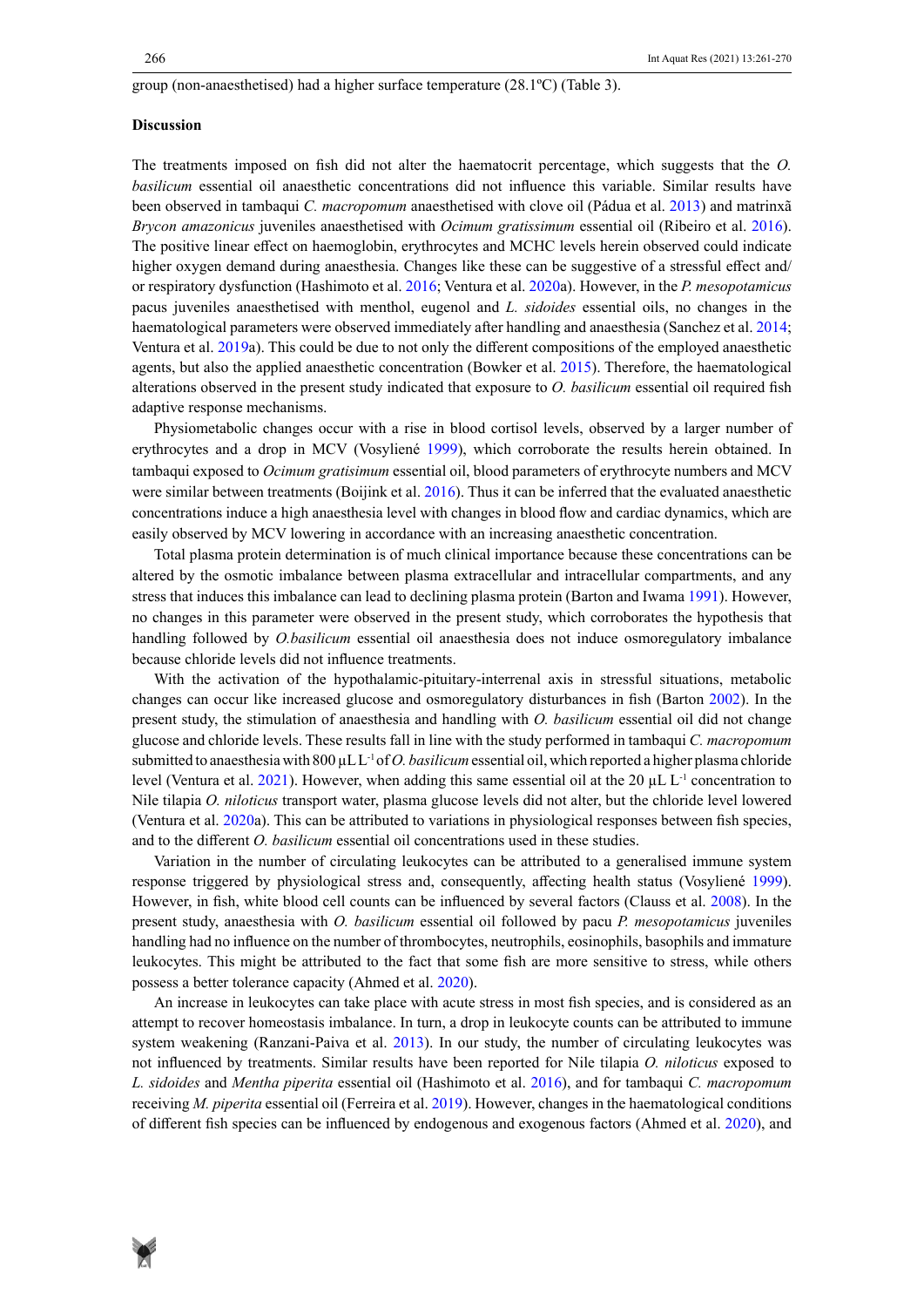#### group (non-anaesthetised) had a higher surface temperature (28.1ºC) (Table 3).

#### **Discussion**

The treatments imposed on fish did not alter the haematocrit percentage, which suggests that the *O. basilicum* essential oil anaesthetic concentrations did not influence this variable. Similar results have been observed in tambaqui *C. macropomum* anaesthetised with clove oil (Pádua et al. 2013) and matrinxã *Brycon amazonicus* juveniles anaesthetised with *Ocimum gratissimum* essential oil (Ribeiro et al. 2016). The positive linear effect on haemoglobin, erythrocytes and MCHC levels herein observed could indicate higher oxygen demand during anaesthesia. Changes like these can be suggestive of a stressful effect and/ or respiratory dysfunction (Hashimoto et al. 2016; Ventura et al. 2020a). However, in the *P. mesopotamicus* pacus juveniles anaesthetised with menthol, eugenol and *L. sidoides* essential oils, no changes in the haematological parameters were observed immediately after handling and anaesthesia (Sanchez et al. 2014; Ventura et al. 2019a). This could be due to not only the different compositions of the employed anaesthetic agents, but also the applied anaesthetic concentration (Bowker et al. 2015). Therefore, the haematological alterations observed in the present study indicated that exposure to *O. basilicum* essential oil required fish adaptive response mechanisms.

Physiometabolic changes occur with a rise in blood cortisol levels, observed by a larger number of erythrocytes and a drop in MCV (Vosyliené 1999), which corroborate the results herein obtained. In tambaqui exposed to *Ocimum gratisimum* essential oil, blood parameters of erythrocyte numbers and MCV were similar between treatments (Boijink et al. 2016). Thus it can be inferred that the evaluated anaesthetic concentrations induce a high anaesthesia level with changes in blood flow and cardiac dynamics, which are easily observed by MCV lowering in accordance with an increasing anaesthetic concentration.

Total plasma protein determination is of much clinical importance because these concentrations can be altered by the osmotic imbalance between plasma extracellular and intracellular compartments, and any stress that induces this imbalance can lead to declining plasma protein (Barton and Iwama 1991). However, no changes in this parameter were observed in the present study, which corroborates the hypothesis that handling followed by *O.basilicum* essential oil anaesthesia does not induce osmoregulatory imbalance because chloride levels did not influence treatments.

With the activation of the hypothalamic-pituitary-interrenal axis in stressful situations, metabolic changes can occur like increased glucose and osmoregulatory disturbances in fish (Barton 2002). In the present study, the stimulation of anaesthesia and handling with *O. basilicum* essential oil did not change glucose and chloride levels. These results fall in line with the study performed in tambaqui *C. macropomum* submitted to anaesthesia with 800 µL L<sup>-1</sup> of *O. basilicum* essential oil, which reported a higher plasma chloride level (Ventura et al. 2021). However, when adding this same essential oil at the 20  $\mu$ L L<sup>-1</sup> concentration to Nile tilapia *O. niloticus* transport water, plasma glucose levels did not alter, but the chloride level lowered (Ventura et al. 2020a). This can be attributed to variations in physiological responses between fish species, and to the different *O. basilicum* essential oil concentrations used in these studies.

Variation in the number of circulating leukocytes can be attributed to a generalised immune system response triggered by physiological stress and, consequently, affecting health status (Vosyliené 1999). However, in fish, white blood cell counts can be influenced by several factors (Clauss et al. 2008). In the present study, anaesthesia with *O. basilicum* essential oil followed by pacu *P. mesopotamicus* juveniles handling had no influence on the number of thrombocytes, neutrophils, eosinophils, basophils and immature leukocytes. This might be attributed to the fact that some fish are more sensitive to stress, while others possess a better tolerance capacity (Ahmed et al. 2020).

An increase in leukocytes can take place with acute stress in most fish species, and is considered as an attempt to recover homeostasis imbalance. In turn, a drop in leukocyte counts can be attributed to immune system weakening (Ranzani-Paiva et al. 2013). In our study, the number of circulating leukocytes was not influenced by treatments. Similar results have been reported for Nile tilapia *O. niloticus* exposed to *L. sidoides* and *Mentha piperita* essential oil (Hashimoto et al. 2016), and for tambaqui *C. macropomum* receiving *M. piperita* essential oil (Ferreira et al. 2019). However, changes in the haematological conditions of different fish species can be influenced by endogenous and exogenous factors (Ahmed et al. 2020), and

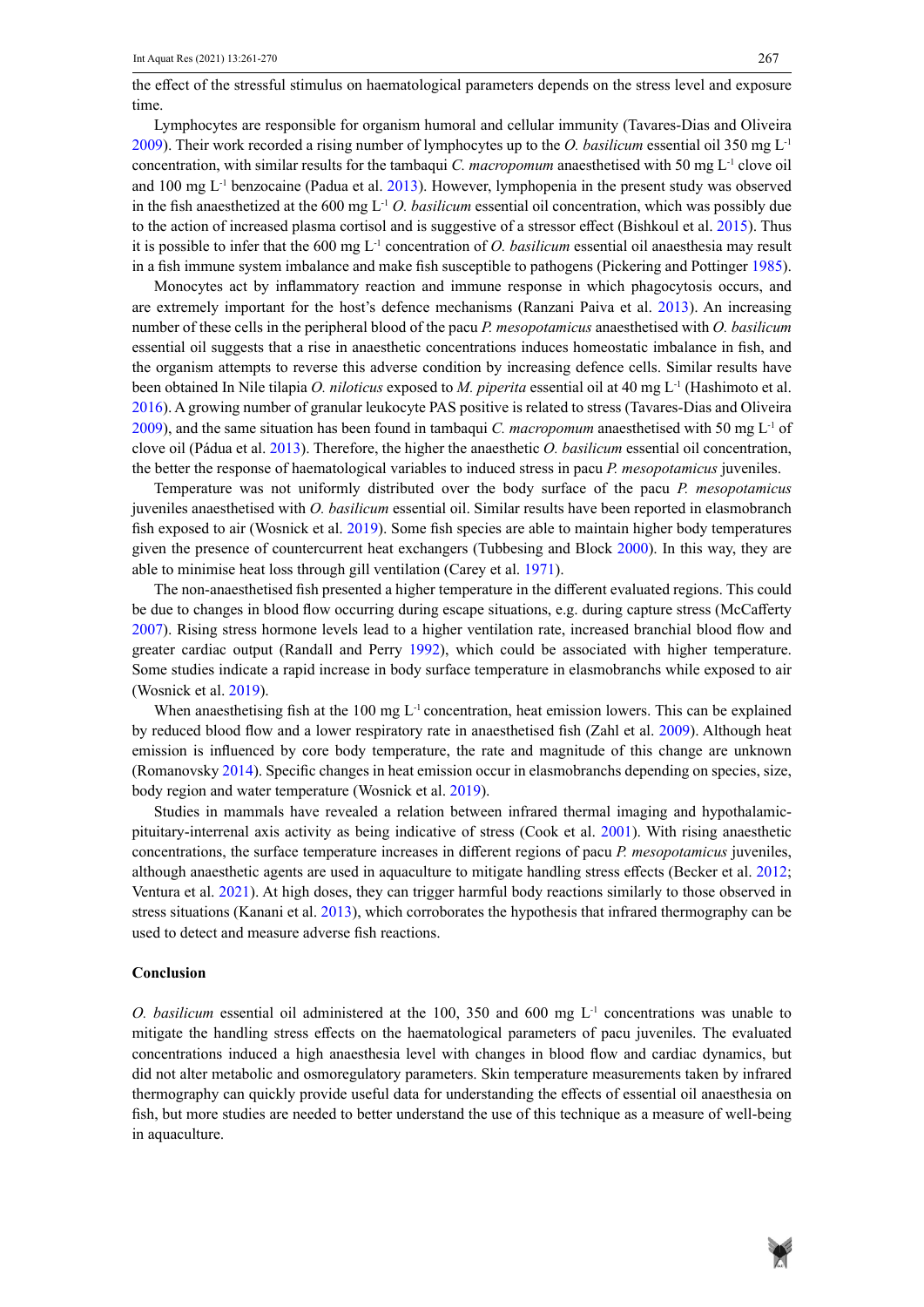the effect of the stressful stimulus on haematological parameters depends on the stress level and exposure time.

Lymphocytes are responsible for organism humoral and cellular immunity (Tavares-Dias and Oliveira 2009). Their work recorded a rising number of lymphocytes up to the *O. basilicum* essential oil 350 mg L-1 concentration, with similar results for the tambaqui *C. macropomum* anaesthetised with 50 mg L<sup>-1</sup> clove oil and 100 mg  $L^{-1}$  benzocaine (Padua et al. 2013). However, lymphopenia in the present study was observed in the fish anaesthetized at the 600 mg  $L^{-1}$  *O. basilicum* essential oil concentration, which was possibly due to the action of increased plasma cortisol and is suggestive of a stressor effect (Bishkoul et al. 2015). Thus it is possible to infer that the 600 mg L-1 concentration of *O. basilicum* essential oil anaesthesia may result in a fish immune system imbalance and make fish susceptible to pathogens (Pickering and Pottinger 1985).

Monocytes act by inflammatory reaction and immune response in which phagocytosis occurs, and are extremely important for the host's defence mechanisms (Ranzani Paiva et al. 2013). An increasing number of these cells in the peripheral blood of the pacu *P. mesopotamicus* anaesthetised with *O. basilicum* essential oil suggests that a rise in anaesthetic concentrations induces homeostatic imbalance in fish, and the organism attempts to reverse this adverse condition by increasing defence cells. Similar results have been obtained In Nile tilapia *O. niloticus* exposed to *M. piperita* essential oil at 40 mg L-1 (Hashimoto et al. 2016). A growing number of granular leukocyte PAS positive is related to stress (Tavares-Dias and Oliveira 2009), and the same situation has been found in tambaqui *C. macropomum* anaesthetised with 50 mg  $L<sup>-1</sup>$  of clove oil (Pádua et al. 2013). Therefore, the higher the anaesthetic *O. basilicum* essential oil concentration, the better the response of haematological variables to induced stress in pacu *P. mesopotamicus* juveniles.

Temperature was not uniformly distributed over the body surface of the pacu *P. mesopotamicus* juveniles anaesthetised with *O. basilicum* essential oil. Similar results have been reported in elasmobranch fish exposed to air (Wosnick et al. 2019). Some fish species are able to maintain higher body temperatures given the presence of countercurrent heat exchangers (Tubbesing and Block 2000). In this way, they are able to minimise heat loss through gill ventilation (Carey et al. 1971).

The non-anaesthetised fish presented a higher temperature in the different evaluated regions. This could be due to changes in blood flow occurring during escape situations, e.g. during capture stress (McCafferty 2007). Rising stress hormone levels lead to a higher ventilation rate, increased branchial blood flow and greater cardiac output (Randall and Perry 1992), which could be associated with higher temperature. Some studies indicate a rapid increase in body surface temperature in elasmobranchs while exposed to air (Wosnick et al. 2019).

When anaesthetising fish at the 100 mg  $L^{-1}$  concentration, heat emission lowers. This can be explained by reduced blood flow and a lower respiratory rate in anaesthetised fish (Zahl et al. 2009). Although heat emission is influenced by core body temperature, the rate and magnitude of this change are unknown (Romanovsky 2014). Specific changes in heat emission occur in elasmobranchs depending on species, size, body region and water temperature (Wosnick et al. 2019).

Studies in mammals have revealed a relation between infrared thermal imaging and hypothalamicpituitary-interrenal axis activity as being indicative of stress (Cook et al. 2001). With rising anaesthetic concentrations, the surface temperature increases in different regions of pacu *P. mesopotamicus* juveniles, although anaesthetic agents are used in aquaculture to mitigate handling stress effects (Becker et al. 2012; Ventura et al. 2021). At high doses, they can trigger harmful body reactions similarly to those observed in stress situations (Kanani et al. 2013), which corroborates the hypothesis that infrared thermography can be used to detect and measure adverse fish reactions.

#### **Conclusion**

*O. basilicum* essential oil administered at the 100, 350 and 600 mg L*-*<sup>1</sup> concentrations was unable to mitigate the handling stress effects on the haematological parameters of pacu juveniles. The evaluated concentrations induced a high anaesthesia level with changes in blood flow and cardiac dynamics, but did not alter metabolic and osmoregulatory parameters. Skin temperature measurements taken by infrared thermography can quickly provide useful data for understanding the effects of essential oil anaesthesia on fish, but more studies are needed to better understand the use of this technique as a measure of well-being in aquaculture.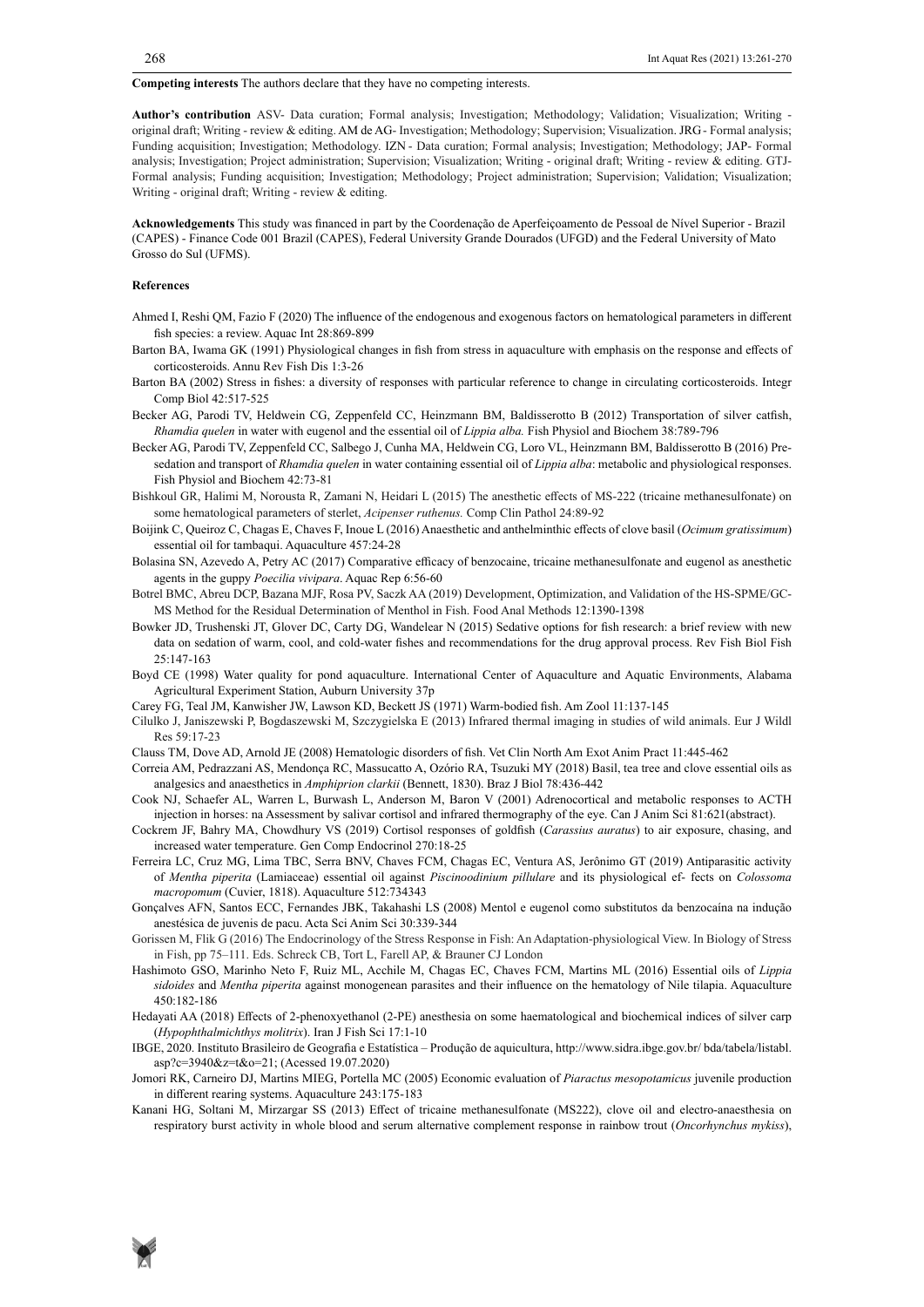**Competing interests** The authors declare that they have no competing interests.

**Author's contribution** ASV- Data curation; Formal analysis; Investigation; Methodology; Validation; Visualization; Writing original draft; Writing - review & editing. AM de AG- Investigation; Methodology; Supervision; Visualization. JRG- Formal analysis; Funding acquisition; Investigation; Methodology. IZN - Data curation; Formal analysis; Investigation; Methodology; JAP- Formal analysis; Investigation; Project administration; Supervision; Visualization; Writing - original draft; Writing - review & editing. GTJ-Formal analysis; Funding acquisition; Investigation; Methodology; Project administration; Supervision; Validation; Visualization; Writing - original draft; Writing - review & editing.

**Acknowledgements** This study was financed in part by the Coordenação de Aperfeiçoamento de Pessoal de Nível Superior - Brazil (CAPES) - Finance Code 001 Brazil (CAPES), Federal University Grande Dourados (UFGD) and the Federal University of Mato Grosso do Sul (UFMS).

#### **References**

- Ahmed I, Reshi QM, Fazio F (2020) The influence of the endogenous and exogenous factors on hematological parameters in different fish species: a review. Aquac Int 28:869-899
- Barton BA, Iwama GK (1991) Physiological changes in fish from stress in aquaculture with emphasis on the response and effects of corticosteroids. Annu Rev Fish Dis 1:3-26
- Barton BA (2002) Stress in fishes: a diversity of responses with particular reference to change in circulating corticosteroids. Integr Comp Biol 42:517-525
- Becker AG, Parodi TV, Heldwein CG, Zeppenfeld CC, Heinzmann BM, Baldisserotto B (2012) Transportation of silver catfish, *Rhamdia quelen* in water with eugenol and the essential oil of *Lippia alba.* Fish Physiol and Biochem 38:789-796
- Becker AG, Parodi TV, Zeppenfeld CC, Salbego J, Cunha MA, Heldwein CG, Loro VL, Heinzmann BM, Baldisserotto B (2016) Presedation and transport of *Rhamdia quelen* in water containing essential oil of *Lippia alba*: metabolic and physiological responses. Fish Physiol and Biochem 42:73-81
- Bishkoul GR, Halimi M, Norousta R, Zamani N, Heidari L (2015) The anesthetic effects of MS-222 (tricaine methanesulfonate) on some hematological parameters of sterlet, *Acipenser ruthenus.* Comp Clin Pathol 24:89-92
- Boijink C, Queiroz C, Chagas E, Chaves F, Inoue L (2016) Anaesthetic and anthelminthic effects of clove basil (*Ocimum gratissimum*) essential oil for tambaqui. Aquaculture 457:24-28
- Bolasina SN, Azevedo A, Petry AC (2017) Comparative efficacy of benzocaine, tricaine methanesulfonate and eugenol as anesthetic agents in the guppy *Poecilia vivipara*. Aquac Rep 6:56-60
- Botrel BMC, Abreu DCP, Bazana MJF, Rosa PV, Saczk AA (2019) Development, Optimization, and Validation of the HS-SPME/GC-MS Method for the Residual Determination of Menthol in Fish. Food Anal Methods 12:1390-1398
- Bowker JD, Trushenski JT, Glover DC, Carty DG, Wandelear N (2015) Sedative options for fish research: a brief review with new data on sedation of warm, cool, and cold-water fishes and recommendations for the drug approval process. Rev Fish Biol Fish 25:147-163
- Boyd CE (1998) Water quality for pond aquaculture. International Center of Aquaculture and Aquatic Environments, Alabama Agricultural Experiment Station, Auburn University 37p
- Carey FG, Teal JM, Kanwisher JW, Lawson KD, Beckett JS (1971) Warm-bodied fish. Am Zool 11:137-145
- Cilulko J, Janiszewski P, Bogdaszewski M, Szczygielska E (2013) Infrared thermal imaging in studies of wild animals. Eur J Wildl Res 59:17-23
- Clauss TM, Dove AD, Arnold JE (2008) Hematologic disorders of fish. Vet Clin North Am Exot Anim Pract 11:445-462
- Correia AM, Pedrazzani AS, Mendonça RC, Massucatto A, Ozório RA, Tsuzuki MY (2018) Basil, tea tree and clove essential oils as analgesics and anaesthetics in *Amphiprion clarkii* (Bennett, 1830). Braz J Biol 78:436-442
- Cook NJ, Schaefer AL, Warren L, Burwash L, Anderson M, Baron V (2001) Adrenocortical and metabolic responses to ACTH injection in horses: na Assessment by salivar cortisol and infrared thermography of the eye. Can J Anim Sci 81:621(abstract).
- Cockrem JF, Bahry MA, Chowdhury VS (2019) Cortisol responses of goldfish (*Carassius auratus*) to air exposure, chasing, and increased water temperature. Gen Comp Endocrinol 270:18-25
- Ferreira LC, Cruz MG, Lima TBC, Serra BNV, Chaves FCM, Chagas EC, Ventura AS, Jerônimo GT (2019) Antiparasitic activity of *Mentha piperita* (Lamiaceae) essential oil against *Piscinoodinium pillulare* and its physiological ef- fects on *Colossoma macropomum* (Cuvier, 1818). Aquaculture 512:734343
- Gonçalves AFN, Santos ECC, Fernandes JBK, Takahashi LS (2008) Mentol e eugenol como substitutos da benzocaína na indução anestésica de juvenis de pacu. Acta Sci Anim Sci 30:339-344
- Gorissen M, Flik G (2016) The Endocrinology of the Stress Response in Fish: An Adaptation-physiological View. In Biology of Stress in Fish, pp 75–111. Eds. Schreck CB, Tort L, Farell AP, & Brauner CJ London
- Hashimoto GSO, Marinho Neto F, Ruiz ML, Acchile M, Chagas EC, Chaves FCM, Martins ML (2016) Essential oils of *Lippia sidoides* and *Mentha piperita* against monogenean parasites and their influence on the hematology of Nile tilapia. Aquaculture 450:182-186
- Hedayati AA (2018) Effects of 2-phenoxyethanol (2-PE) anesthesia on some haematological and biochemical indices of silver carp (*Hypophthalmichthys molitrix*). Iran J Fish Sci 17:1-10
- IBGE, 2020. Instituto Brasileiro de Geografia e Estatística Produção de aquicultura, <http://www.sidra.ibge.gov.br/>bda/tabela/listabl. asp?c=3940&z=t&o=21; (Acessed 19.07.2020)
- Jomori RK, Carneiro DJ, Martins MIEG, Portella MC (2005) Economic evaluation of *Piaractus mesopotamicus* juvenile production in different rearing systems. Aquaculture 243:175-183
- Kanani HG, Soltani M, Mirzargar SS (2013) Effect of tricaine methanesulfonate (MS222), clove oil and electro-anaesthesia on respiratory burst activity in whole blood and serum alternative complement response in rainbow trout (*Oncorhynchus mykiss*),

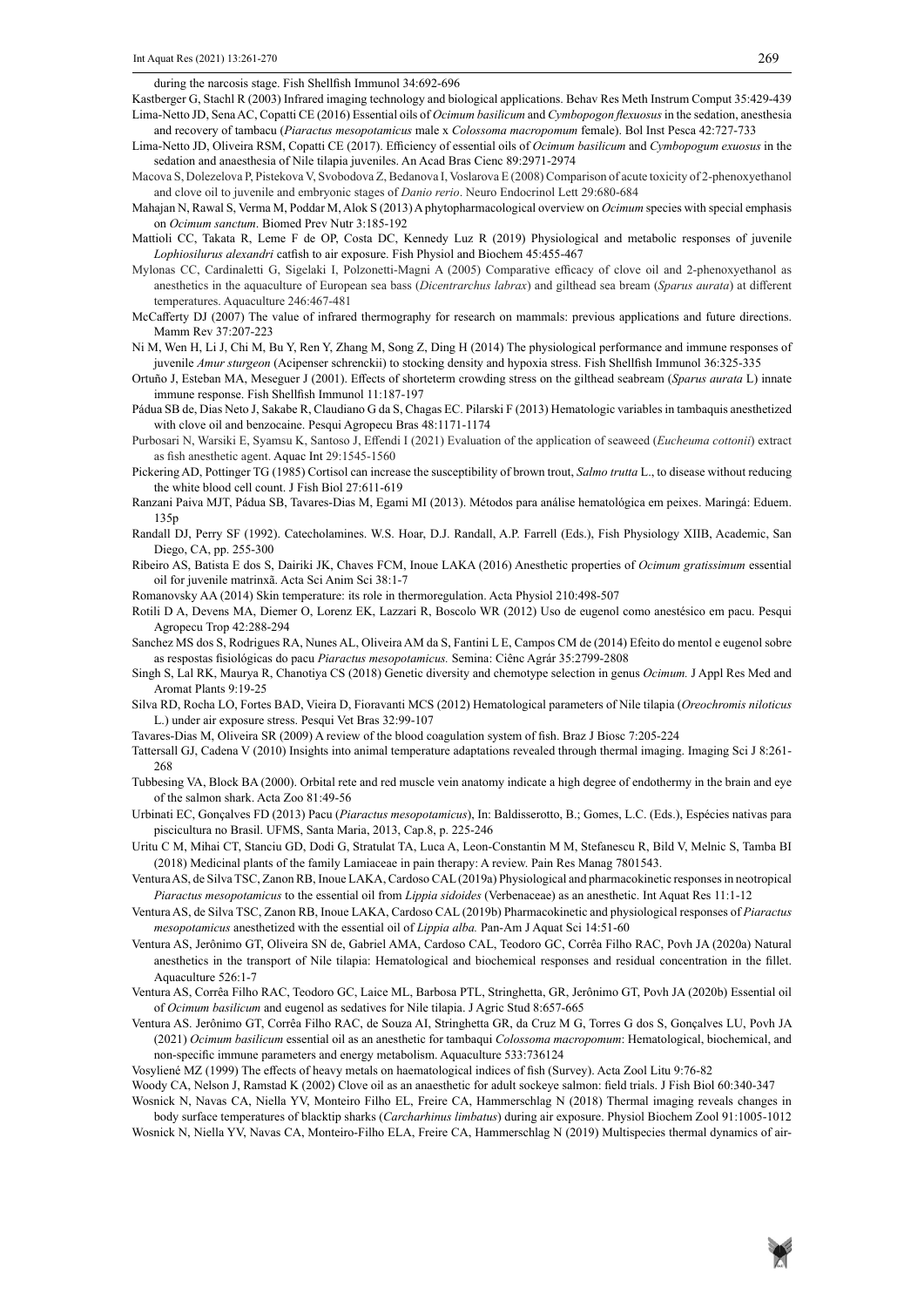during the narcosis stage. Fish Shellfish Immunol 34:692-696

Kastberger G, Stachl R (2003) Infrared imaging technology and biological applications. Behav Res Meth Instrum Comput 35:429-439 Lima-Netto JD, Sena AC, Copatti CE (2016) Essential oils of *Ocimum basilicum* and *Cymbopogon flexuosus* in the sedation, anesthesia and recovery of tambacu (*Piaractus mesopotamicus* male x *Colossoma macropomum* female). Bol Inst Pesca 42:727-733

- Lima-Netto JD, Oliveira RSM, Copatti CE (2017). Efficiency of essential oils of *Ocimum basilicum* and *Cymbopogum exuosus* in the sedation and anaesthesia of Nile tilapia juveniles. An Acad Bras Cienc 89:2971-2974
- Macova S, Dolezelova P, Pistekova V, Svobodova Z, Bedanova I, Voslarova E (2008) Comparison of acute toxicity of 2-phenoxyethanol and clove oil to juvenile and embryonic stages of *Danio rerio*. Neuro Endocrinol Lett 29:680-684
- Mahajan N, Rawal S, Verma M, Poddar M, Alok S (2013) A phytopharmacological overview on *Ocimum* species with special emphasis on *Ocimum sanctum*. Biomed Prev Nutr 3:185-192
- Mattioli CC, Takata R, Leme F de OP, Costa DC, Kennedy Luz R (2019) Physiological and metabolic responses of juvenile *Lophiosilurus alexandri* catfish to air exposure. Fish Physiol and Biochem 45:455-467
- Mylonas CC, Cardinaletti G, Sigelaki I, Polzonetti-Magni A (2005) Comparative efficacy of clove oil and 2-phenoxyethanol as anesthetics in the aquaculture of European sea bass (*Dicentrarchus labrax*) and gilthead sea bream (*Sparus aurata*) at different temperatures. Aquaculture 246:467-481
- McCafferty DJ (2007) The value of infrared thermography for research on mammals: previous applications and future directions. Mamm Rev 37:207-223
- Ni M, Wen H, Li J, Chi M, Bu Y, Ren Y, Zhang M, Song Z, Ding H (2014) The physiological performance and immune responses of juvenile *Amur sturgeon* (Acipenser schrenckii) to stocking density and hypoxia stress. Fish Shellfish Immunol 36:325-335
- Ortuño J, Esteban MA, Meseguer J (2001). Effects of shorteterm crowding stress on the gilthead seabream (*Sparus aurata* L) innate immune response. Fish Shellfish Immunol 11:187-197
- Pádua SB de, Dias Neto J, Sakabe R, Claudiano G da S, Chagas EC. Pilarski F (2013) Hematologic variables in tambaquis anesthetized with clove oil and benzocaine. Pesqui Agropecu Bras 48:1171-1174
- Purbosari N, Warsiki E, Syamsu K, Santoso J, Effendi I (2021) Evaluation of the application of seaweed (*Eucheuma cottonii*) extract as fish anesthetic agent. Aquac Int 29:1545-1560
- Pickering AD, Pottinger TG (1985) Cortisol can increase the susceptibility of brown trout, *Salmo trutta* L., to disease without reducing the white blood cell count. J Fish Biol 27:611-619
- Ranzani Paiva MJT, Pádua SB, Tavares-Dias M, Egami MI (2013). Métodos para análise hematológica em peixes. Maringá: Eduem. 135p
- Randall DJ, Perry SF (1992). Catecholamines. W.S. Hoar, D.J. Randall, A.P. Farrell (Eds.), Fish Physiology XIIB, Academic, San Diego, CA, pp. 255-300
- Ribeiro AS, Batista E dos S, Dairiki JK, Chaves FCM, Inoue LAKA (2016) Anesthetic properties of *Ocimum gratissimum* essential oil for juvenile matrinxã. Acta Sci Anim Sci 38:1-7
- Romanovsky AA (2014) Skin temperature: its role in thermoregulation. Acta Physiol 210:498-507
- Rotili D A, Devens MA, Diemer O, Lorenz EK, Lazzari R, Boscolo WR (2012) Uso de eugenol como anestésico em pacu. Pesqui Agropecu Trop 42:288-294
- Sanchez MS dos S, Rodrigues RA, Nunes AL, Oliveira AM da S, Fantini L E, Campos CM de (2014) Efeito do mentol e eugenol sobre as respostas fisiológicas do pacu *Piaractus mesopotamicus.* Semina: Ciênc Agrár 35:2799-2808
- Singh S, Lal RK, Maurya R, Chanotiya CS (2018) Genetic diversity and chemotype selection in genus *Ocimum.* J Appl Res Med and Aromat Plants 9:19-25
- Silva RD, Rocha LO, Fortes BAD, Vieira D, Fioravanti MCS (2012) Hematological parameters of Nile tilapia (*Oreochromis niloticus* L.) under air exposure stress. Pesqui Vet Bras 32:99-107
- Tavares-Dias M, Oliveira SR (2009) A review of the blood coagulation system of fish. Braz J Biosc 7:205-224
- Tattersall GJ, Cadena V (2010) Insights into animal temperature adaptations revealed through thermal imaging. Imaging Sci J 8:261- 268
- Tubbesing VA, Block BA (2000). Orbital rete and red muscle vein anatomy indicate a high degree of endothermy in the brain and eye of the salmon shark. Acta Zoo 81:49-56
- Urbinati EC, Gonçalves FD (2013) Pacu (*Piaractus mesopotamicus*), In: Baldisserotto, B.; Gomes, L.C. (Eds.), Espécies nativas para piscicultura no Brasil. UFMS, Santa Maria, 2013, Cap.8, p. 225-246
- Uritu C M, Mihai CT, Stanciu GD, Dodi G, Stratulat TA, Luca A, Leon-Constantin M M, Stefanescu R, Bild V, Melnic S, Tamba BI (2018) Medicinal plants of the family Lamiaceae in pain therapy: A review. Pain Res Manag 7801543.
- Ventura AS, de Silva TSC, Zanon RB, Inoue LAKA, Cardoso CAL (2019a) Physiological and pharmacokinetic responses in neotropical *Piaractus mesopotamicus* to the essential oil from *Lippia sidoides* (Verbenaceae) as an anesthetic. Int Aquat Res 11:1-12
- Ventura AS, de Silva TSC, Zanon RB, Inoue LAKA, Cardoso CAL (2019b) Pharmacokinetic and physiological responses of *Piaractus mesopotamicus* anesthetized with the essential oil of *Lippia alba.* Pan-Am J Aquat Sci 14:51-60
- Ventura AS, Jerônimo GT, Oliveira SN de, Gabriel AMA, Cardoso CAL, Teodoro GC, Corrêa Filho RAC, Povh JA (2020a) Natural anesthetics in the transport of Nile tilapia: Hematological and biochemical responses and residual concentration in the fillet. Aquaculture 526:1-7
- Ventura AS, Corrêa Filho RAC, Teodoro GC, Laice ML, Barbosa PTL, Stringhetta, GR, Jerônimo GT, Povh JA (2020b) Essential oil of *Ocimum basilicum* and eugenol as sedatives for Nile tilapia. J Agric Stud 8:657-665
- Ventura AS. Jerônimo GT, Corrêa Filho RAC, de Souza AI, Stringhetta GR, da Cruz M G, Torres G dos S, Gonçalves LU, Povh JA (2021) *Ocimum basilicum* essential oil as an anesthetic for tambaqui *Colossoma macropomum*: Hematological, biochemical, and non-specific immune parameters and energy metabolism. Aquaculture 533:736124
- Vosyliené MZ (1999) The effects of heavy metals on haematological indices of fish (Survey). Acta Zool Litu 9:76-82
- Woody CA, Nelson J, Ramstad K (2002) Clove oil as an anaesthetic for adult sockeye salmon: field trials. J Fish Biol 60:340-347

Wosnick N, Navas CA, Niella YV, Monteiro Filho EL, Freire CA, Hammerschlag N (2018) Thermal imaging reveals changes in body surface temperatures of blacktip sharks (*Carcharhinus limbatus*) during air exposure. Physiol Biochem Zool 91:1005-1012

Wosnick N, Niella YV, Navas CA, Monteiro-Filho ELA, Freire CA, Hammerschlag N (2019) Multispecies thermal dynamics of air-